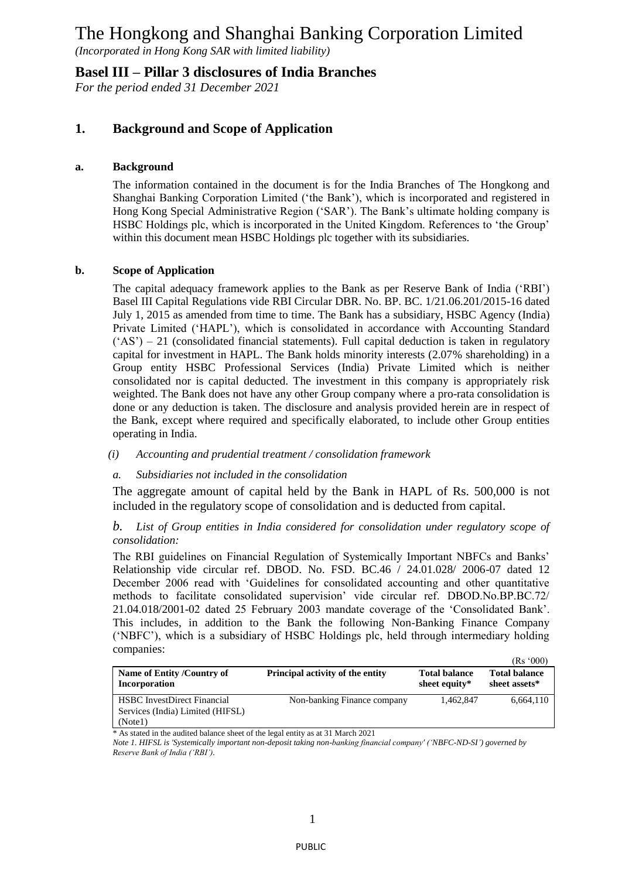*(Incorporated in Hong Kong SAR with limited liability)*

### **Basel III – Pillar 3 disclosures of India Branches**

*For the period ended 31 December 2021*

## **1. Background and Scope of Application**

#### **a. Background**

The information contained in the document is for the India Branches of The Hongkong and Shanghai Banking Corporation Limited ('the Bank'), which is incorporated and registered in Hong Kong Special Administrative Region ('SAR'). The Bank's ultimate holding company is HSBC Holdings plc, which is incorporated in the United Kingdom. References to 'the Group' within this document mean HSBC Holdings plc together with its subsidiaries.

#### **b. Scope of Application**

The capital adequacy framework applies to the Bank as per Reserve Bank of India ('RBI') Basel III Capital Regulations vide RBI Circular DBR. No. BP. BC. 1/21.06.201/2015-16 dated July 1, 2015 as amended from time to time. The Bank has a subsidiary, HSBC Agency (India) Private Limited ('HAPL'), which is consolidated in accordance with Accounting Standard  $({\rm AS'}) - 21$  (consolidated financial statements). Full capital deduction is taken in regulatory capital for investment in HAPL. The Bank holds minority interests (2.07% shareholding) in a Group entity HSBC Professional Services (India) Private Limited which is neither consolidated nor is capital deducted. The investment in this company is appropriately risk weighted. The Bank does not have any other Group company where a pro-rata consolidation is done or any deduction is taken. The disclosure and analysis provided herein are in respect of the Bank, except where required and specifically elaborated, to include other Group entities operating in India.

#### *(i) Accounting and prudential treatment / consolidation framework*

#### *a. Subsidiaries not included in the consolidation*

The aggregate amount of capital held by the Bank in HAPL of Rs. 500,000 is not included in the regulatory scope of consolidation and is deducted from capital.

#### *b. List of Group entities in India considered for consolidation under regulatory scope of consolidation:*

The RBI guidelines on Financial Regulation of Systemically Important NBFCs and Banks' Relationship vide circular ref. DBOD. No. FSD. BC.46 / 24.01.028/ 2006-07 dated 12 December 2006 read with 'Guidelines for consolidated accounting and other quantitative methods to facilitate consolidated supervision' vide circular ref. DBOD.No.BP.BC.72/ 21.04.018/2001-02 dated 25 February 2003 mandate coverage of the 'Consolidated Bank'. This includes, in addition to the Bank the following Non-Banking Finance Company ('NBFC'), which is a subsidiary of HSBC Holdings plc, held through intermediary holding companies:  $(D_2, 000)$ 

| Name of Entity /Country of<br>Incorporation                                       | Principal activity of the entity | <b>Total balance</b><br>sheet equity* | IKS VVVI<br><b>Total balance</b><br>sheet assets* |
|-----------------------------------------------------------------------------------|----------------------------------|---------------------------------------|---------------------------------------------------|
| <b>HSBC</b> InvestDirect Financial<br>Services (India) Limited (HIFSL)<br>(Note1) | Non-banking Finance company      | 1.462.847                             | 6,664,110                                         |

\* As stated in the audited balance sheet of the legal entity as at 31 March 2021

*Note 1. HIFSL is 'Systemically important non-deposit taking non-banking financial company' ('NBFC-ND-SI') governed by Reserve Bank of India ('RBI').*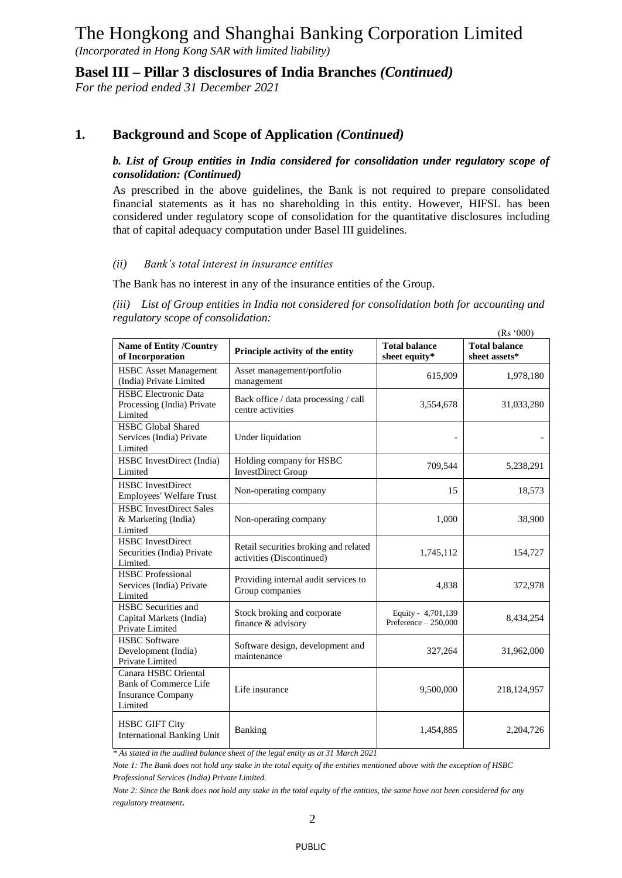*(Incorporated in Hong Kong SAR with limited liability)*

**Basel III – Pillar 3 disclosures of India Branches** *(Continued)*

*For the period ended 31 December 2021*

## **1. Background and Scope of Application** *(Continued)*

#### *b. List of Group entities in India considered for consolidation under regulatory scope of consolidation: (Continued)*

As prescribed in the above guidelines, the Bank is not required to prepare consolidated financial statements as it has no shareholding in this entity. However, HIFSL has been considered under regulatory scope of consolidation for the quantitative disclosures including that of capital adequacy computation under Basel III guidelines.

#### *(ii) Bank's total interest in insurance entities*

The Bank has no interest in any of the insurance entities of the Group.

*(iii) List of Group entities in India not considered for consolidation both for accounting and regulatory scope of consolidation:*

|                                                                                             |                                                                    |                                            | (Rs'000)                              |
|---------------------------------------------------------------------------------------------|--------------------------------------------------------------------|--------------------------------------------|---------------------------------------|
| <b>Name of Entity /Country</b><br>of Incorporation                                          | Principle activity of the entity                                   | <b>Total balance</b><br>sheet equity*      | <b>Total balance</b><br>sheet assets* |
| <b>HSBC</b> Asset Management<br>(India) Private Limited                                     | Asset management/portfolio<br>management                           | 615,909                                    | 1,978,180                             |
| <b>HSBC</b> Electronic Data<br>Processing (India) Private<br>Limited                        | Back office / data processing / call<br>centre activities          | 3,554,678                                  | 31,033,280                            |
| <b>HSBC</b> Global Shared<br>Services (India) Private<br>Limited                            | Under liquidation                                                  |                                            |                                       |
| HSBC InvestDirect (India)<br>Limited                                                        | Holding company for HSBC<br><b>InvestDirect Group</b>              | 709,544                                    | 5,238,291                             |
| <b>HSBC</b> InvestDirect<br>Employees' Welfare Trust                                        | Non-operating company                                              | 15                                         | 18,573                                |
| <b>HSBC</b> InvestDirect Sales<br>& Marketing (India)<br>Limited                            | Non-operating company                                              | 1,000                                      | 38,900                                |
| <b>HSBC</b> InvestDirect<br>Securities (India) Private<br>Limited.                          | Retail securities broking and related<br>activities (Discontinued) | 1,745,112                                  | 154,727                               |
| <b>HSBC</b> Professional<br>Services (India) Private<br>Limited                             | Providing internal audit services to<br>Group companies            | 4,838                                      | 372,978                               |
| <b>HSBC</b> Securities and<br>Capital Markets (India)<br>Private Limited                    | Stock broking and corporate<br>finance & advisory                  | Equity - 4,701,139<br>Preference - 250,000 | 8,434,254                             |
| <b>HSBC</b> Software<br>Development (India)<br>Private Limited                              | Software design, development and<br>maintenance                    | 327,264                                    | 31,962,000                            |
| Canara HSBC Oriental<br><b>Bank of Commerce Life</b><br><b>Insurance Company</b><br>Limited | Life insurance                                                     | 9,500,000                                  | 218, 124, 957                         |
| <b>HSBC GIFT City</b><br><b>International Banking Unit</b>                                  | Banking                                                            | 1,454,885                                  | 2,204,726                             |

*\* As stated in the audited balance sheet of the legal entity as at 31 March 2021*

*Note 1: The Bank does not hold any stake in the total equity of the entities mentioned above with the exception of HSBC Professional Services (India) Private Limited.*

*Note 2: Since the Bank does not hold any stake in the total equity of the entities, the same have not been considered for any regulatory treatment.*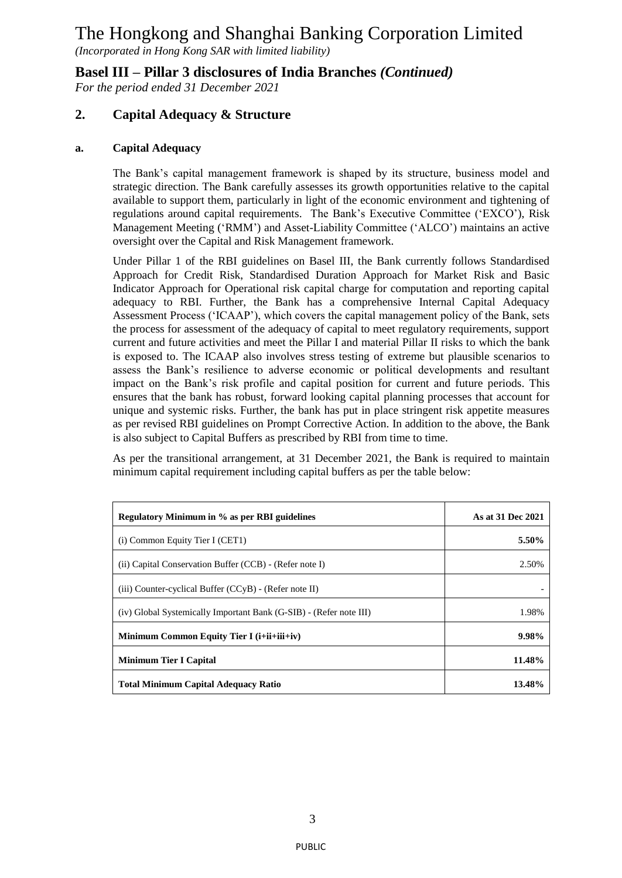*(Incorporated in Hong Kong SAR with limited liability)*

**Basel III – Pillar 3 disclosures of India Branches** *(Continued)*

*For the period ended 31 December 2021*

## **2. Capital Adequacy & Structure**

#### **a. Capital Adequacy**

The Bank's capital management framework is shaped by its structure, business model and strategic direction. The Bank carefully assesses its growth opportunities relative to the capital available to support them, particularly in light of the economic environment and tightening of regulations around capital requirements. The Bank's Executive Committee ('EXCO'), Risk Management Meeting ('RMM') and Asset-Liability Committee ('ALCO') maintains an active oversight over the Capital and Risk Management framework.

Under Pillar 1 of the RBI guidelines on Basel III, the Bank currently follows Standardised Approach for Credit Risk, Standardised Duration Approach for Market Risk and Basic Indicator Approach for Operational risk capital charge for computation and reporting capital adequacy to RBI. Further, the Bank has a comprehensive Internal Capital Adequacy Assessment Process ('ICAAP'), which covers the capital management policy of the Bank, sets the process for assessment of the adequacy of capital to meet regulatory requirements, support current and future activities and meet the Pillar I and material Pillar II risks to which the bank is exposed to. The ICAAP also involves stress testing of extreme but plausible scenarios to assess the Bank's resilience to adverse economic or political developments and resultant impact on the Bank's risk profile and capital position for current and future periods. This ensures that the bank has robust, forward looking capital planning processes that account for unique and systemic risks. Further, the bank has put in place stringent risk appetite measures as per revised RBI guidelines on Prompt Corrective Action. In addition to the above, the Bank is also subject to Capital Buffers as prescribed by RBI from time to time.

As per the transitional arrangement, at 31 December 2021, the Bank is required to maintain minimum capital requirement including capital buffers as per the table below:

| Regulatory Minimum in % as per RBI guidelines                      | As at 31 Dec 2021 |
|--------------------------------------------------------------------|-------------------|
| $(i)$ Common Equity Tier I (CET1)                                  | 5.50%             |
| (ii) Capital Conservation Buffer (CCB) - (Refer note I)            | 2.50%             |
| $(iii)$ Counter-cyclical Buffer $(CCyB)$ - (Refer note II)         |                   |
| (iv) Global Systemically Important Bank (G-SIB) - (Refer note III) | 1.98%             |
| Minimum Common Equity Tier I $(i+i i+i i)$                         | $9.98\%$          |
| <b>Minimum Tier I Capital</b>                                      | 11.48%            |
| <b>Total Minimum Capital Adequacy Ratio</b>                        | 13.48%            |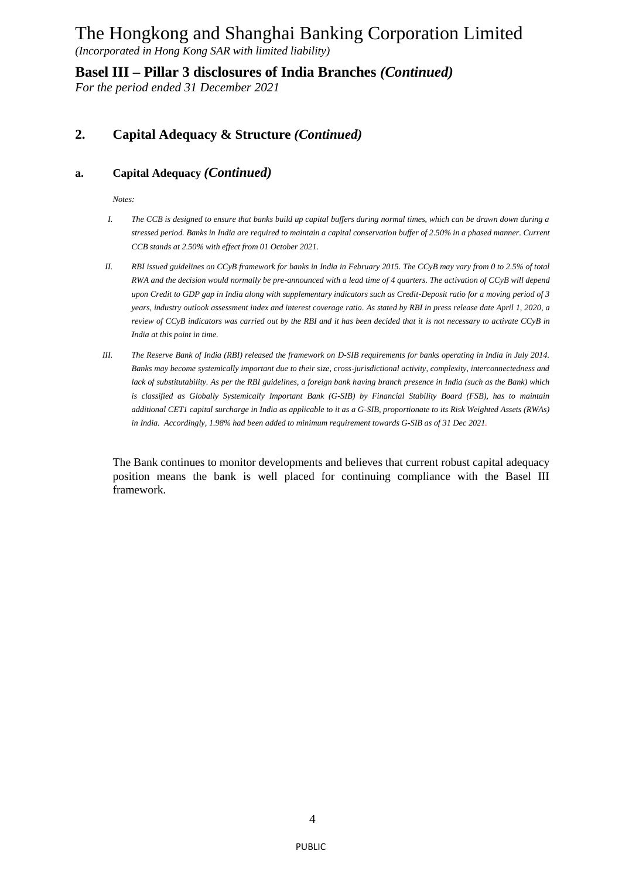*(Incorporated in Hong Kong SAR with limited liability)*

**Basel III – Pillar 3 disclosures of India Branches** *(Continued)*

*For the period ended 31 December 2021*

## **2. Capital Adequacy & Structure** *(Continued)*

#### **a. Capital Adequacy** *(Continued)*

*Notes:*

- *I. The CCB is designed to ensure that banks build up capital buffers during normal times, which can be drawn down during a stressed period. Banks in India are required to maintain a capital conservation buffer of 2.50% in a phased manner. Current CCB stands at 2.50% with effect from 01 October 2021.*
- *II. RBI issued guidelines on CCyB framework for banks in India in February 2015. The CCyB may vary from 0 to 2.5% of total RWA and the decision would normally be pre-announced with a lead time of 4 quarters. The activation of CCyB will depend upon Credit to GDP gap in India along with supplementary indicators such as Credit-Deposit ratio for a moving period of 3 years, industry outlook assessment index and interest coverage ratio. As stated by RBI in press release date April 1, 2020, a review of CCyB indicators was carried out by the RBI and it has been decided that it is not necessary to activate CCyB in India at this point in time.*
- *III. The Reserve Bank of India (RBI) released the framework on D-SIB requirements for banks operating in India in July 2014. Banks may become systemically important due to their size, cross-jurisdictional activity, complexity, interconnectedness and lack of substitutability. As per the RBI guidelines, a foreign bank having branch presence in India (such as the Bank) which is classified as Globally Systemically Important Bank (G-SIB) by Financial Stability Board (FSB), has to maintain additional CET1 capital surcharge in India as applicable to it as a G-SIB, proportionate to its Risk Weighted Assets (RWAs) in India. Accordingly, 1.98% had been added to minimum requirement towards G-SIB as of 31 Dec 2021.*

The Bank continues to monitor developments and believes that current robust capital adequacy position means the bank is well placed for continuing compliance with the Basel III framework.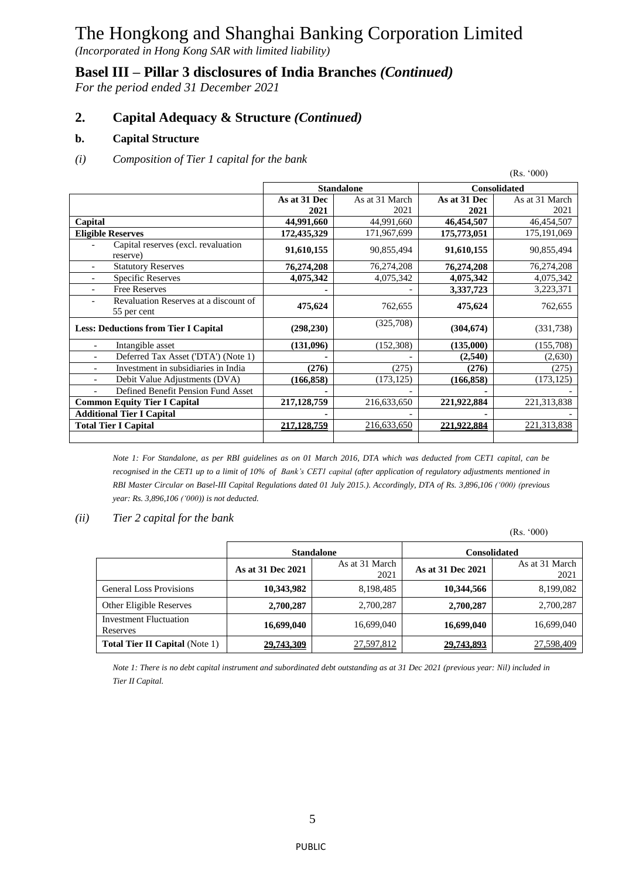*(Incorporated in Hong Kong SAR with limited liability)*

## **Basel III – Pillar 3 disclosures of India Branches** *(Continued)*

*For the period ended 31 December 2021*

## **2. Capital Adequacy & Structure** *(Continued)*

#### **b. Capital Structure**

#### *(i) Composition of Tier 1 capital for the bank*

|                                                                        |               |                   |                            | (Rs. '000)     |  |
|------------------------------------------------------------------------|---------------|-------------------|----------------------------|----------------|--|
|                                                                        |               | <b>Standalone</b> | Consolidated               |                |  |
|                                                                        | As at 31 Dec  | As at 31 March    | As at 31 Dec               | As at 31 March |  |
|                                                                        | 2021          | 2021              | 2021                       | 2021           |  |
| Capital                                                                | 44,991,660    | 44,991,660        | 46,454,507                 | 46,454,507     |  |
| <b>Eligible Reserves</b>                                               | 172,435,329   | 171,967,699       | 175,773,051                | 175, 191, 069  |  |
| Capital reserves (excl. revaluation<br>reserve)                        | 91,610,155    | 90,855,494        | 91,610,155                 | 90,855,494     |  |
| <b>Statutory Reserves</b>                                              | 76,274,208    | 76,274,208        | 76,274,208                 | 76,274,208     |  |
| <b>Specific Reserves</b>                                               | 4,075,342     | 4,075,342         | 4,075,342                  | 4,075,342      |  |
| <b>Free Reserves</b>                                                   |               |                   | 3,337,723                  | 3,223,371      |  |
| Revaluation Reserves at a discount of<br>$\overline{a}$<br>55 per cent | 475,624       | 762,655           | 475,624                    | 762,655        |  |
| <b>Less: Deductions from Tier I Capital</b>                            | (298, 230)    | (325,708)         | (304, 674)                 | (331, 738)     |  |
| Intangible asset                                                       | (131,096)     | (152,308)         | (135,000)                  | (155,708)      |  |
| Deferred Tax Asset ('DTA') (Note 1)                                    |               |                   | (2,540)                    | (2,630)        |  |
| Investment in subsidiaries in India                                    | (276)         | (275)             | (276)                      | (275)          |  |
| Debit Value Adjustments (DVA)                                          | (166, 858)    | (173, 125)        | (166, 858)                 | (173, 125)     |  |
| Defined Benefit Pension Fund Asset                                     |               |                   |                            |                |  |
| <b>Common Equity Tier I Capital</b>                                    | 217, 128, 759 | 216,633,650       | 221,922,884<br>221,313,838 |                |  |
| <b>Additional Tier I Capital</b>                                       |               |                   |                            |                |  |
| <b>Total Tier I Capital</b>                                            | 217.128.759   | 216,633,650       | 221.922.884                | 221,313,838    |  |
|                                                                        |               |                   |                            |                |  |

*Note 1: For Standalone, as per RBI guidelines as on 01 March 2016, DTA which was deducted from CET1 capital, can be recognised in the CET1 up to a limit of 10% of Bank's CET1 capital (after application of regulatory adjustments mentioned in RBI Master Circular on Basel-III Capital Regulations dated 01 July 2015.). Accordingly, DTA of Rs. 3,896,106 ('000) (previous year: Rs. 3,896,106 ('000)) is not deducted.*

#### *(ii) Tier 2 capital for the bank*

(Rs. '000)

|                                           |                                             | <b>Standalone</b> |                   | <b>Consolidated</b>    |  |
|-------------------------------------------|---------------------------------------------|-------------------|-------------------|------------------------|--|
|                                           | As at 31 March<br>As at 31 Dec 2021<br>2021 |                   | As at 31 Dec 2021 | As at 31 March<br>2021 |  |
| <b>General Loss Provisions</b>            | 10,343,982                                  | 8,198,485         | 10,344,566        | 8,199,082              |  |
| Other Eligible Reserves                   | 2,700,287                                   | 2,700,287         | 2,700,287         | 2,700,287              |  |
| <b>Investment Fluctuation</b><br>Reserves | 16,699,040                                  | 16,699,040        | 16,699,040        | 16,699,040             |  |
| <b>Total Tier II Capital (Note 1)</b>     | 29,743,309                                  | 27,597,812        | 29,743,893        | 27,598,409             |  |

*Note 1: There is no debt capital instrument and subordinated debt outstanding as at 31 Dec 2021 (previous year: Nil) included in Tier II Capital.*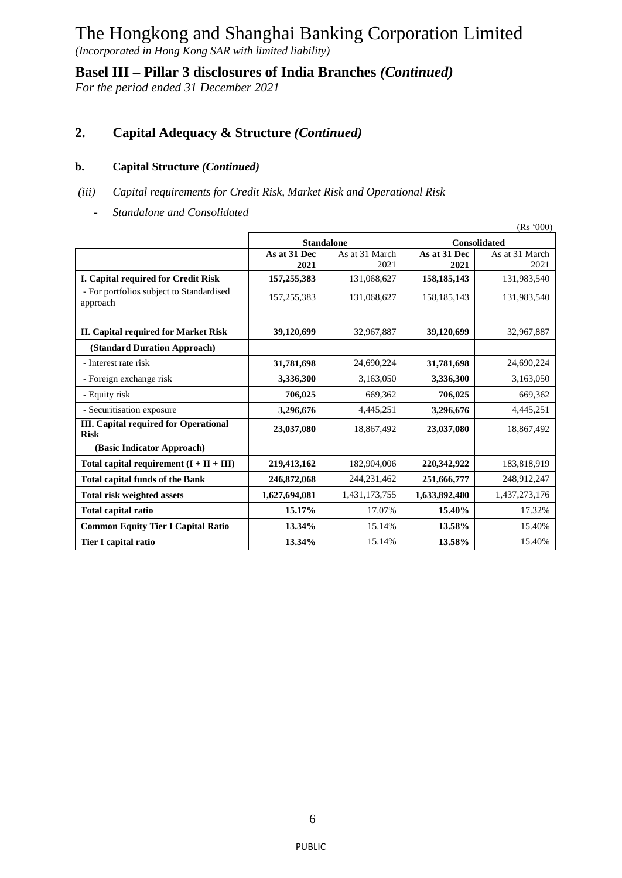*(Incorporated in Hong Kong SAR with limited liability)*

**Basel III – Pillar 3 disclosures of India Branches** *(Continued)*

*For the period ended 31 December 2021*

## **2. Capital Adequacy & Structure** *(Continued)*

#### **b. Capital Structure** *(Continued)*

- *(iii) Capital requirements for Credit Risk, Market Risk and Operational Risk*
	- *- Standalone and Consolidated*

|                                                             |               |                   |               | (Rs'000)            |
|-------------------------------------------------------------|---------------|-------------------|---------------|---------------------|
|                                                             |               | <b>Standalone</b> |               | <b>Consolidated</b> |
|                                                             | As at 31 Dec  | As at 31 March    | As at 31 Dec  | As at 31 March      |
|                                                             | 2021          | 2021              | 2021          | 2021                |
| I. Capital required for Credit Risk                         | 157,255,383   | 131,068,627       | 158, 185, 143 | 131,983,540         |
| - For portfolios subject to Standardised<br>approach        | 157,255,383   | 131,068,627       | 158, 185, 143 | 131,983,540         |
|                                                             |               |                   |               |                     |
| <b>II. Capital required for Market Risk</b>                 | 39,120,699    | 32,967,887        | 39,120,699    | 32,967,887          |
| (Standard Duration Approach)                                |               |                   |               |                     |
| - Interest rate risk                                        | 31,781,698    | 24,690,224        | 31,781,698    | 24,690,224          |
| - Foreign exchange risk                                     | 3,336,300     | 3,163,050         | 3,336,300     | 3,163,050           |
| - Equity risk                                               | 706,025       | 669,362           | 706,025       | 669,362             |
| - Securitisation exposure                                   | 3,296,676     | 4,445,251         | 3,296,676     | 4,445,251           |
| <b>III.</b> Capital required for Operational<br><b>Risk</b> | 23,037,080    | 18,867,492        | 23,037,080    | 18,867,492          |
| (Basic Indicator Approach)                                  |               |                   |               |                     |
| Total capital requirement $(I + II + III)$                  | 219,413,162   | 182,904,006       | 220,342,922   | 183,818,919         |
| <b>Total capital funds of the Bank</b>                      | 246,872,068   | 244,231,462       | 251,666,777   | 248,912,247         |
| Total risk weighted assets                                  | 1,627,694,081 | 1,431,173,755     | 1,633,892,480 | 1,437,273,176       |
| Total capital ratio                                         | 15.17%        | 17.07%            | 15.40%        | 17.32%              |
| <b>Common Equity Tier I Capital Ratio</b>                   | 13.34%        | 15.14%            | 13.58%        | 15.40%              |
| Tier I capital ratio                                        | 13.34%        | 15.14%            | 13.58%        | 15.40%              |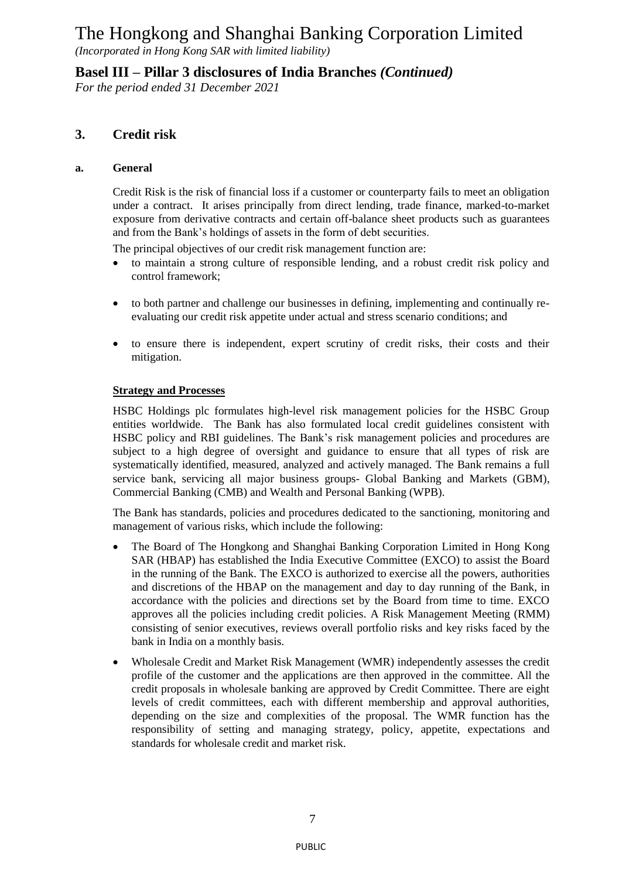*(Incorporated in Hong Kong SAR with limited liability)*

**Basel III – Pillar 3 disclosures of India Branches** *(Continued)*

*For the period ended 31 December 2021*

## **3. Credit risk**

#### **a. General**

Credit Risk is the risk of financial loss if a customer or counterparty fails to meet an obligation under a contract. It arises principally from direct lending, trade finance, marked-to-market exposure from derivative contracts and certain off-balance sheet products such as guarantees and from the Bank's holdings of assets in the form of debt securities.

The principal objectives of our credit risk management function are:

- to maintain a strong culture of responsible lending, and a robust credit risk policy and control framework;
- to both partner and challenge our businesses in defining, implementing and continually reevaluating our credit risk appetite under actual and stress scenario conditions; and
- to ensure there is independent, expert scrutiny of credit risks, their costs and their mitigation.

#### **Strategy and Processes**

HSBC Holdings plc formulates high-level risk management policies for the HSBC Group entities worldwide. The Bank has also formulated local credit guidelines consistent with HSBC policy and RBI guidelines. The Bank's risk management policies and procedures are subject to a high degree of oversight and guidance to ensure that all types of risk are systematically identified, measured, analyzed and actively managed. The Bank remains a full service bank, servicing all major business groups- Global Banking and Markets (GBM), Commercial Banking (CMB) and Wealth and Personal Banking (WPB).

The Bank has standards, policies and procedures dedicated to the sanctioning, monitoring and management of various risks, which include the following:

- The Board of The Hongkong and Shanghai Banking Corporation Limited in Hong Kong SAR (HBAP) has established the India Executive Committee (EXCO) to assist the Board in the running of the Bank. The EXCO is authorized to exercise all the powers, authorities and discretions of the HBAP on the management and day to day running of the Bank, in accordance with the policies and directions set by the Board from time to time. EXCO approves all the policies including credit policies. A Risk Management Meeting (RMM) consisting of senior executives, reviews overall portfolio risks and key risks faced by the bank in India on a monthly basis.
- Wholesale Credit and Market Risk Management (WMR) independently assesses the credit profile of the customer and the applications are then approved in the committee. All the credit proposals in wholesale banking are approved by Credit Committee. There are eight levels of credit committees, each with different membership and approval authorities, depending on the size and complexities of the proposal. The WMR function has the responsibility of setting and managing strategy, policy, appetite, expectations and standards for wholesale credit and market risk.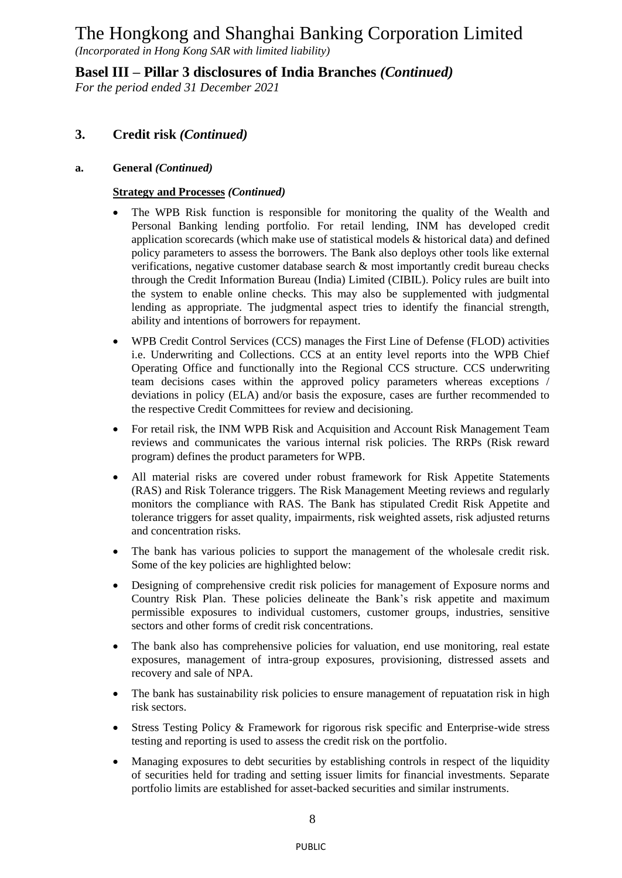*(Incorporated in Hong Kong SAR with limited liability)*

**Basel III – Pillar 3 disclosures of India Branches** *(Continued)*

*For the period ended 31 December 2021*

## **3. Credit risk** *(Continued)*

#### **a. General** *(Continued)*

#### **Strategy and Processes** *(Continued)*

- The WPB Risk function is responsible for monitoring the quality of the Wealth and Personal Banking lending portfolio. For retail lending, INM has developed credit application scorecards (which make use of statistical models & historical data) and defined policy parameters to assess the borrowers. The Bank also deploys other tools like external verifications, negative customer database search & most importantly credit bureau checks through the Credit Information Bureau (India) Limited (CIBIL). Policy rules are built into the system to enable online checks. This may also be supplemented with judgmental lending as appropriate. The judgmental aspect tries to identify the financial strength, ability and intentions of borrowers for repayment.
- WPB Credit Control Services (CCS) manages the First Line of Defense (FLOD) activities i.e. Underwriting and Collections. CCS at an entity level reports into the WPB Chief Operating Office and functionally into the Regional CCS structure. CCS underwriting team decisions cases within the approved policy parameters whereas exceptions / deviations in policy (ELA) and/or basis the exposure, cases are further recommended to the respective Credit Committees for review and decisioning.
- For retail risk, the INM WPB Risk and Acquisition and Account Risk Management Team reviews and communicates the various internal risk policies. The RRPs (Risk reward program) defines the product parameters for WPB.
- All material risks are covered under robust framework for Risk Appetite Statements (RAS) and Risk Tolerance triggers. The Risk Management Meeting reviews and regularly monitors the compliance with RAS. The Bank has stipulated Credit Risk Appetite and tolerance triggers for asset quality, impairments, risk weighted assets, risk adjusted returns and concentration risks.
- The bank has various policies to support the management of the wholesale credit risk. Some of the key policies are highlighted below:
- Designing of comprehensive credit risk policies for management of Exposure norms and Country Risk Plan. These policies delineate the Bank's risk appetite and maximum permissible exposures to individual customers, customer groups, industries, sensitive sectors and other forms of credit risk concentrations.
- The bank also has comprehensive policies for valuation, end use monitoring, real estate exposures, management of intra-group exposures, provisioning, distressed assets and recovery and sale of NPA.
- The bank has sustainability risk policies to ensure management of repuatation risk in high risk sectors.
- Stress Testing Policy & Framework for rigorous risk specific and Enterprise-wide stress testing and reporting is used to assess the credit risk on the portfolio.
- Managing exposures to debt securities by establishing controls in respect of the liquidity of securities held for trading and setting issuer limits for financial investments. Separate portfolio limits are established for asset-backed securities and similar instruments.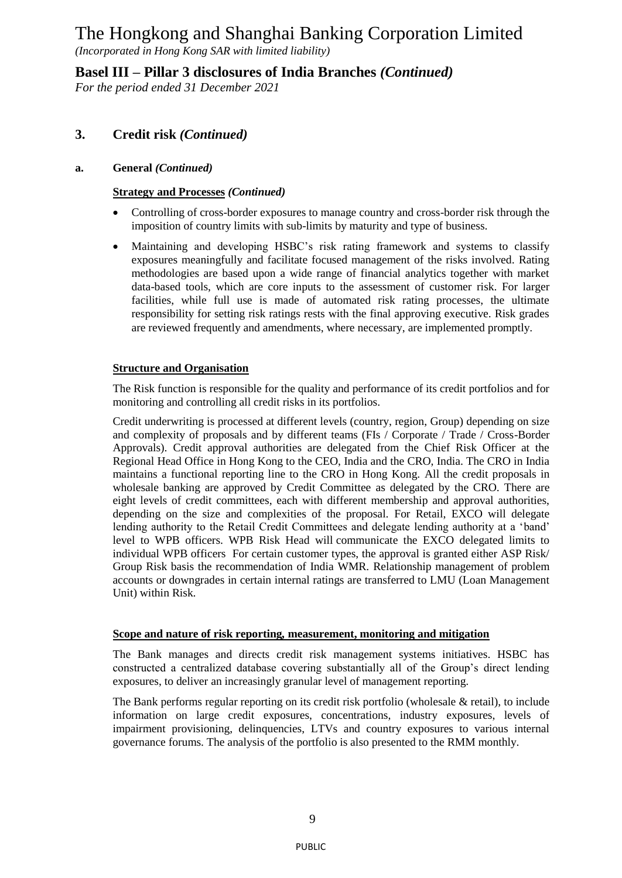*(Incorporated in Hong Kong SAR with limited liability)*

**Basel III – Pillar 3 disclosures of India Branches** *(Continued)*

*For the period ended 31 December 2021*

## **3. Credit risk** *(Continued)*

#### **a. General** *(Continued)*

#### **Strategy and Processes** *(Continued)*

- Controlling of cross-border exposures to manage country and cross-border risk through the imposition of country limits with sub-limits by maturity and type of business.
- Maintaining and developing HSBC's risk rating framework and systems to classify exposures meaningfully and facilitate focused management of the risks involved. Rating methodologies are based upon a wide range of financial analytics together with market data-based tools, which are core inputs to the assessment of customer risk. For larger facilities, while full use is made of automated risk rating processes, the ultimate responsibility for setting risk ratings rests with the final approving executive. Risk grades are reviewed frequently and amendments, where necessary, are implemented promptly.

#### **Structure and Organisation**

The Risk function is responsible for the quality and performance of its credit portfolios and for monitoring and controlling all credit risks in its portfolios.

Credit underwriting is processed at different levels (country, region, Group) depending on size and complexity of proposals and by different teams (FIs / Corporate / Trade / Cross-Border Approvals). Credit approval authorities are delegated from the Chief Risk Officer at the Regional Head Office in Hong Kong to the CEO, India and the CRO, India. The CRO in India maintains a functional reporting line to the CRO in Hong Kong. All the credit proposals in wholesale banking are approved by Credit Committee as delegated by the CRO. There are eight levels of credit committees, each with different membership and approval authorities, depending on the size and complexities of the proposal. For Retail, EXCO will delegate lending authority to the Retail Credit Committees and delegate lending authority at a 'band' level to WPB officers. WPB Risk Head will communicate the EXCO delegated limits to individual WPB officers For certain customer types, the approval is granted either ASP Risk/ Group Risk basis the recommendation of India WMR. Relationship management of problem accounts or downgrades in certain internal ratings are transferred to LMU (Loan Management Unit) within Risk.

#### **Scope and nature of risk reporting***,* **measurement, monitoring and mitigation**

The Bank manages and directs credit risk management systems initiatives. HSBC has constructed a centralized database covering substantially all of the Group's direct lending exposures, to deliver an increasingly granular level of management reporting.

The Bank performs regular reporting on its credit risk portfolio (wholesale & retail), to include information on large credit exposures, concentrations, industry exposures, levels of impairment provisioning, delinquencies, LTVs and country exposures to various internal governance forums. The analysis of the portfolio is also presented to the RMM monthly.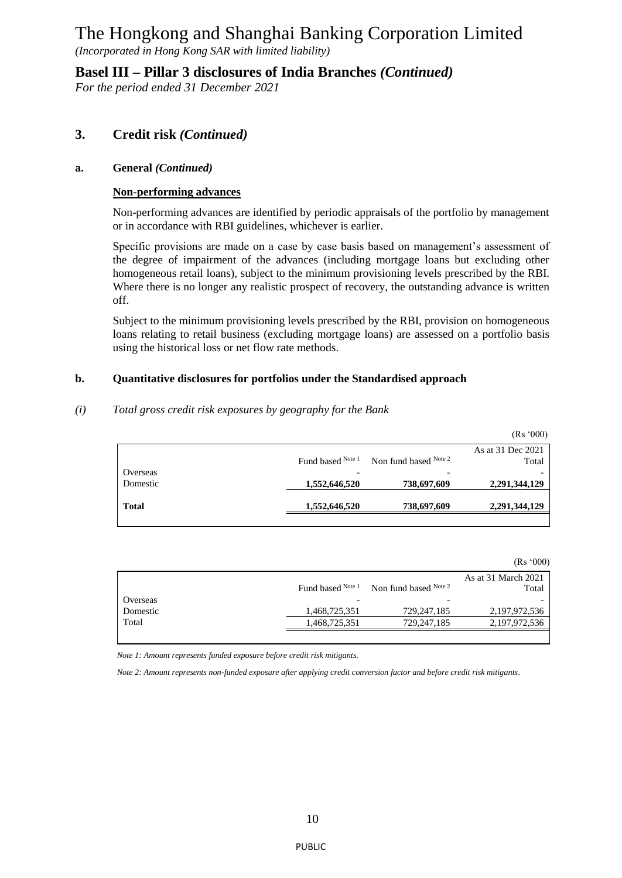*(Incorporated in Hong Kong SAR with limited liability)*

**Basel III – Pillar 3 disclosures of India Branches** *(Continued)*

*For the period ended 31 December 2021*

### **3. Credit risk** *(Continued)*

#### **a. General** *(Continued)*

#### **Non-performing advances**

Non-performing advances are identified by periodic appraisals of the portfolio by management or in accordance with RBI guidelines, whichever is earlier.

Specific provisions are made on a case by case basis based on management's assessment of the degree of impairment of the advances (including mortgage loans but excluding other homogeneous retail loans), subject to the minimum provisioning levels prescribed by the RBI. Where there is no longer any realistic prospect of recovery, the outstanding advance is written off.

Subject to the minimum provisioning levels prescribed by the RBI, provision on homogeneous loans relating to retail business (excluding mortgage loans) are assessed on a portfolio basis using the historical loss or net flow rate methods.

#### **b. Quantitative disclosures for portfolios under the Standardised approach**

#### *(i) Total gross credit risk exposures by geography for the Bank*

|              |                   |                       | (Rs'000)                   |
|--------------|-------------------|-----------------------|----------------------------|
|              | Fund based Note 1 | Non fund based Note 2 | As at 31 Dec 2021<br>Total |
| Overseas     |                   |                       |                            |
| Domestic     | 1,552,646,520     | 738,697,609           | 2,291,344,129              |
| <b>Total</b> | 1,552,646,520     | 738,697,609           | 2,291,344,129              |

(Rs '000)

|          |                   |                            | As at 31 March 2021 |
|----------|-------------------|----------------------------|---------------------|
|          | Fund based Note 1 | Non fund based $^{Note 2}$ | Total               |
| Overseas |                   |                            |                     |
| Domestic | 1,468,725,351     | 729,247,185                | 2,197,972,536       |
| Total    | 1,468,725,351     | 729,247,185                | 2,197,972,536       |
|          |                   |                            |                     |

 *Note 1: Amount represents funded exposure before credit risk mitigants.*

 *Note 2: Amount represents non-funded exposure after applying credit conversion factor and before credit risk mitigants*.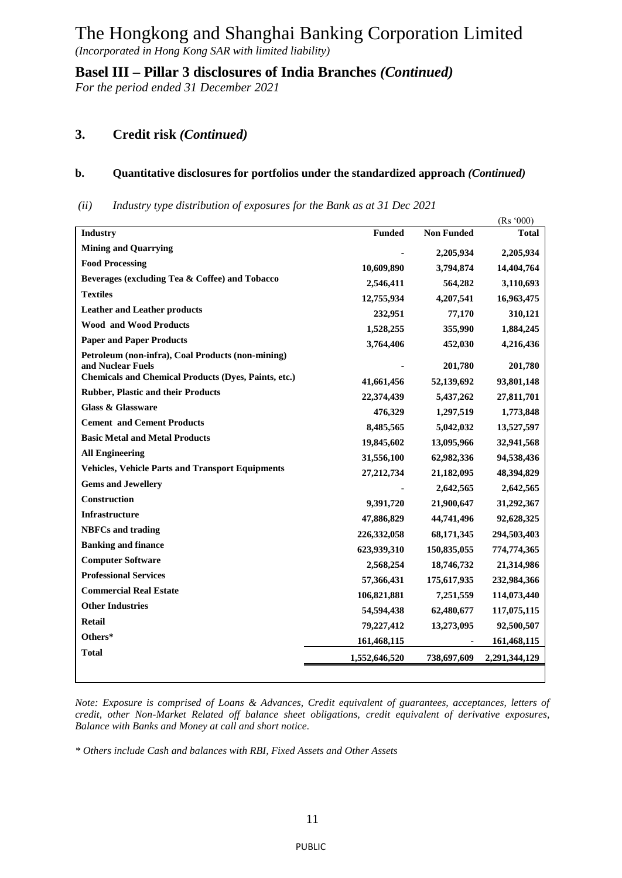*(Incorporated in Hong Kong SAR with limited liability)*

**Basel III – Pillar 3 disclosures of India Branches** *(Continued)*

*For the period ended 31 December 2021*

## **3. Credit risk** *(Continued)*

#### **b. Quantitative disclosures for portfolios under the standardized approach** *(Continued)*

*(ii) Industry type distribution of exposures for the Bank as at 31 Dec 2021*

|                                                             |               |                   | (Rs'000)      |
|-------------------------------------------------------------|---------------|-------------------|---------------|
| <b>Industry</b>                                             | <b>Funded</b> | <b>Non Funded</b> | <b>Total</b>  |
| <b>Mining and Quarrying</b>                                 |               | 2,205,934         | 2,205,934     |
| <b>Food Processing</b>                                      | 10,609,890    | 3,794,874         | 14,404,764    |
| Beverages (excluding Tea & Coffee) and Tobacco              | 2,546,411     | 564,282           | 3,110,693     |
| <b>Textiles</b>                                             | 12,755,934    | 4,207,541         | 16,963,475    |
| <b>Leather and Leather products</b>                         | 232,951       | 77,170            | 310,121       |
| <b>Wood and Wood Products</b>                               | 1,528,255     | 355,990           | 1,884,245     |
| <b>Paper and Paper Products</b>                             | 3,764,406     | 452,030           | 4,216,436     |
| Petroleum (non-infra), Coal Products (non-mining)           |               |                   |               |
| and Nuclear Fuels                                           |               | 201,780           | 201,780       |
| <b>Chemicals and Chemical Products (Dyes, Paints, etc.)</b> | 41,661,456    | 52,139,692        | 93,801,148    |
| <b>Rubber, Plastic and their Products</b>                   | 22,374,439    | 5,437,262         | 27,811,701    |
| Glass & Glassware                                           | 476,329       | 1,297,519         | 1,773,848     |
| <b>Cement and Cement Products</b>                           | 8,485,565     | 5,042,032         | 13,527,597    |
| <b>Basic Metal and Metal Products</b>                       | 19,845,602    | 13,095,966        | 32,941,568    |
| <b>All Engineering</b>                                      | 31,556,100    | 62,982,336        | 94,538,436    |
| <b>Vehicles, Vehicle Parts and Transport Equipments</b>     | 27, 212, 734  | 21,182,095        | 48,394,829    |
| <b>Gems and Jewellery</b>                                   |               | 2,642,565         | 2,642,565     |
| Construction                                                | 9,391,720     | 21,900,647        | 31,292,367    |
| <b>Infrastructure</b>                                       | 47,886,829    | 44,741,496        | 92,628,325    |
| <b>NBFCs</b> and trading                                    | 226,332,058   | 68,171,345        | 294,503,403   |
| <b>Banking and finance</b>                                  | 623,939,310   | 150,835,055       | 774,774,365   |
| <b>Computer Software</b>                                    |               |                   |               |
| <b>Professional Services</b>                                | 2,568,254     | 18,746,732        | 21,314,986    |
| <b>Commercial Real Estate</b>                               | 57,366,431    | 175,617,935       | 232,984,366   |
| <b>Other Industries</b>                                     | 106,821,881   | 7,251,559         | 114,073,440   |
| <b>Retail</b>                                               | 54,594,438    | 62,480,677        | 117,075,115   |
|                                                             | 79,227,412    | 13,273,095        | 92,500,507    |
| Others*                                                     | 161,468,115   |                   | 161,468,115   |
| <b>Total</b>                                                | 1,552,646,520 | 738,697,609       | 2,291,344,129 |
|                                                             |               |                   |               |

*Note: Exposure is comprised of Loans & Advances, Credit equivalent of guarantees, acceptances, letters of credit, other Non-Market Related off balance sheet obligations, credit equivalent of derivative exposures, Balance with Banks and Money at call and short notice.*

*\* Others include Cash and balances with RBI, Fixed Assets and Other Assets*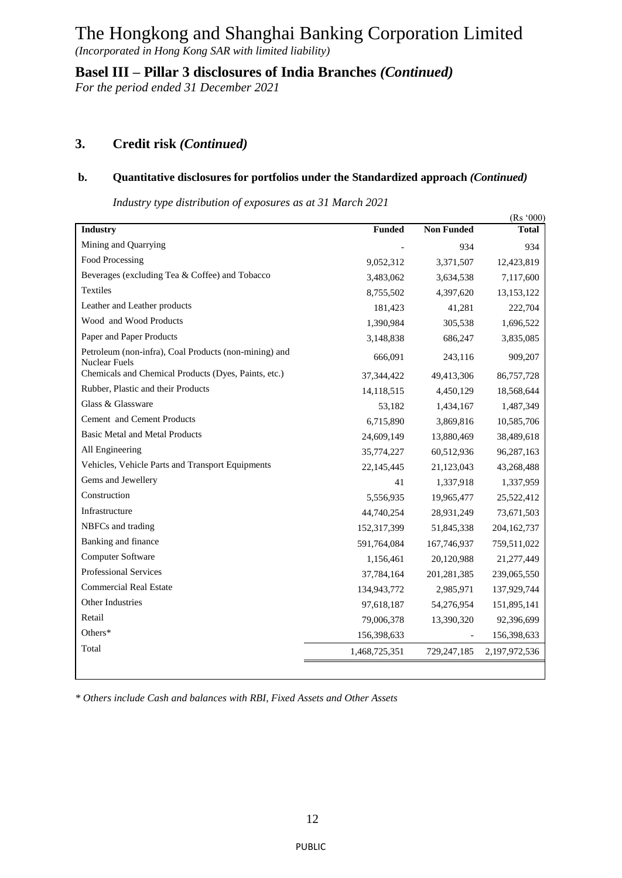*(Incorporated in Hong Kong SAR with limited liability)*

**Basel III – Pillar 3 disclosures of India Branches** *(Continued)*

*For the period ended 31 December 2021*

## **3. Credit risk** *(Continued)*

#### **b. Quantitative disclosures for portfolios under the Standardized approach** *(Continued)*

 *Industry type distribution of exposures as at 31 March 2021*

|                                                                               |               |                   | (Rs'000)      |
|-------------------------------------------------------------------------------|---------------|-------------------|---------------|
| <b>Industry</b>                                                               | <b>Funded</b> | <b>Non Funded</b> | <b>Total</b>  |
| Mining and Quarrying                                                          |               | 934               | 934           |
| Food Processing                                                               | 9,052,312     | 3,371,507         | 12,423,819    |
| Beverages (excluding Tea & Coffee) and Tobacco                                | 3,483,062     | 3,634,538         | 7,117,600     |
| Textiles                                                                      | 8,755,502     | 4,397,620         | 13,153,122    |
| Leather and Leather products                                                  | 181,423       | 41,281            | 222,704       |
| Wood and Wood Products                                                        | 1,390,984     | 305,538           | 1,696,522     |
| Paper and Paper Products                                                      | 3,148,838     | 686,247           | 3,835,085     |
| Petroleum (non-infra), Coal Products (non-mining) and<br><b>Nuclear Fuels</b> | 666,091       | 243,116           | 909,207       |
| Chemicals and Chemical Products (Dyes, Paints, etc.)                          | 37,344,422    | 49,413,306        | 86,757,728    |
| Rubber, Plastic and their Products                                            | 14,118,515    | 4,450,129         | 18,568,644    |
| Glass & Glassware                                                             | 53,182        | 1,434,167         | 1,487,349     |
| Cement and Cement Products                                                    | 6,715,890     | 3,869,816         | 10,585,706    |
| <b>Basic Metal and Metal Products</b>                                         | 24,609,149    | 13,880,469        | 38,489,618    |
| All Engineering                                                               | 35,774,227    | 60,512,936        | 96,287,163    |
| Vehicles, Vehicle Parts and Transport Equipments                              | 22,145,445    | 21,123,043        | 43,268,488    |
| Gems and Jewellery                                                            | 41            | 1,337,918         | 1,337,959     |
| Construction                                                                  | 5,556,935     | 19,965,477        | 25,522,412    |
| Infrastructure                                                                | 44,740,254    | 28,931,249        | 73,671,503    |
| NBFCs and trading                                                             | 152,317,399   | 51,845,338        | 204, 162, 737 |
| Banking and finance                                                           | 591,764,084   | 167,746,937       | 759,511,022   |
| Computer Software                                                             | 1,156,461     | 20,120,988        | 21,277,449    |
| Professional Services                                                         | 37,784,164    | 201, 281, 385     | 239,065,550   |
| <b>Commercial Real Estate</b>                                                 | 134,943,772   | 2,985,971         | 137,929,744   |
| Other Industries                                                              | 97,618,187    | 54,276,954        | 151,895,141   |
| Retail                                                                        | 79,006,378    | 13,390,320        | 92,396,699    |
| Others*                                                                       | 156,398,633   |                   | 156,398,633   |
| Total                                                                         | 1,468,725,351 | 729,247,185       | 2,197,972,536 |
|                                                                               |               |                   |               |
|                                                                               |               |                   |               |

*\* Others include Cash and balances with RBI, Fixed Assets and Other Assets*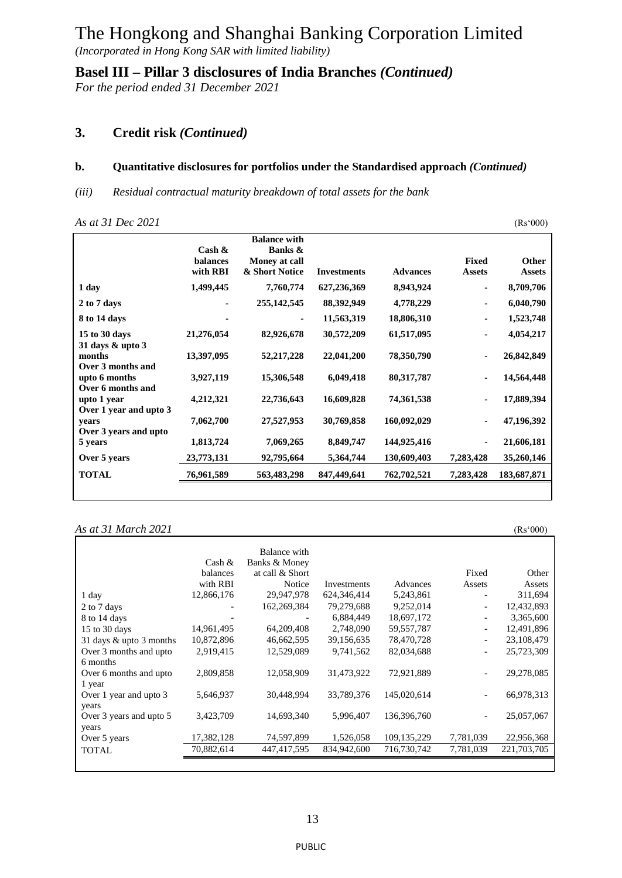*(Incorporated in Hong Kong SAR with limited liability)*

**Basel III – Pillar 3 disclosures of India Branches** *(Continued)*

*For the period ended 31 December 2021*

#### **3. Credit risk** *(Continued)*

#### **b. Quantitative disclosures for portfolios under the Standardised approach** *(Continued)*

*(iii) Residual contractual maturity breakdown of total assets for the bank*

*As at 31 Dec 2021* (Rs'000)

|                                                         | $\cosh \alpha$<br><b>balances</b><br>with RBI | <b>Balance with</b><br>Banks &<br>Money at call<br>& Short Notice | <b>Investments</b> | <b>Advances</b> | <b>Fixed</b><br><b>Assets</b> | Other<br><b>Assets</b> |
|---------------------------------------------------------|-----------------------------------------------|-------------------------------------------------------------------|--------------------|-----------------|-------------------------------|------------------------|
| 1 day                                                   | 1,499,445                                     | 7,760,774                                                         | 627,236,369        | 8,943,924       | ٠                             | 8,709,706              |
| 2 to 7 days                                             |                                               | 255, 142, 545                                                     | 88,392,949         | 4,778,229       | ٠                             | 6,040,790              |
| 8 to 14 days                                            |                                               |                                                                   | 11,563,319         | 18,806,310      | ٠                             | 1,523,748              |
| 15 to 30 days<br>31 days $\&$ upto 3                    | 21,276,054                                    | 82,926,678                                                        | 30,572,209         | 61,517,095      | ٠                             | 4,054,217              |
| months                                                  | 13,397,095                                    | 52, 217, 228                                                      | 22,041,200         | 78,350,790      |                               | 26,842,849             |
| Over 3 months and<br>upto 6 months<br>Over 6 months and | 3,927,119                                     | 15,306,548                                                        | 6,049,418          | 80, 317, 787    |                               | 14,564,448             |
| upto 1 year<br>Over 1 year and upto 3                   | 4,212,321                                     | 22,736,643                                                        | 16,609,828         | 74,361,538      |                               | 17,889,394             |
| vears<br>Over 3 years and upto                          | 7,062,700                                     | 27,527,953                                                        | 30,769,858         | 160,092,029     |                               | 47,196,392             |
| 5 years                                                 | 1,813,724                                     | 7,069,265                                                         | 8,849,747          | 144,925,416     |                               | 21,606,181             |
| Over 5 years                                            | 23,773,131                                    | 92,795,664                                                        | 5,364,744          | 130,609,403     | 7,283,428                     | 35,260,146             |
| <b>TOTAL</b>                                            | 76,961,589                                    | 563,483,298                                                       | 847,449,641        | 762,702,521     | 7,283,428                     | 183,687,871            |
|                                                         |                                               |                                                                   |                    |                 |                               |                        |

*As at 31 March 2021* (Rs'000)

Cash & balances with RBI Balance with Banks & Money at call & Short Notice Investments Advances<br>29,947,978 624,346,414 5,243,861 Fixed Assets Other Assets 1 day 12,866,176 29,947,978 624,346,414 5,243,861 - 311,694<br>2 to 7 days 162,866,176 162,269,384 79,279,688 9,252,014 - 12,432,893 2 to 7 days - 162,269,384 79,279,688 9,252,014 - 12,432,893 8 to 14 days **8** to 14 days **18,697,172** - 3,365,600 15 to 30 days 14,961,495 64,209,408 2,748,090 59,557,787 - 12,491,896 31 days & upto 3 months 10,872,896 46,662,595 39,156,635 78,470,728 - 23,108,479 Over 3 months and upto 6 months 2,919,415 12,529,089 9,741,562 82,034,688 - 25,723,309 Over 6 months and upto 1 year 2,809,858 12,058,909 31,473,922 72,921,889 - 29,278,085 Over 1 year and upto 3 years 5,646,937 30,448,994 33,789,376 145,020,614 - 66,978,313 Over 3 years and upto 5 years 3,423,709 14,693,340 5,996,407 136,396,760 - 25,057,067 Over 5 years 17,382,128 74,597,899 1,526,058 109,135,229 7,781,039 22,956,368 TOTAL 70,882,614 447,417,595 834,942,600 716,730,742 7,781,039 221,703,705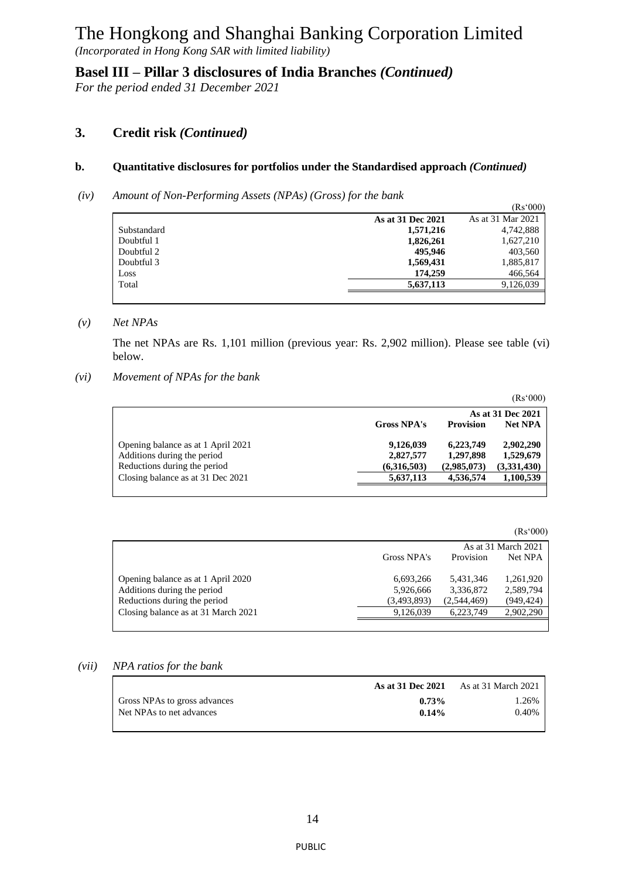*(Incorporated in Hong Kong SAR with limited liability)*

**Basel III – Pillar 3 disclosures of India Branches** *(Continued)*

*For the period ended 31 December 2021*

### **3. Credit risk** *(Continued)*

#### **b. Quantitative disclosures for portfolios under the Standardised approach** *(Continued)*

*(iv) Amount of Non-Performing Assets (NPAs) (Gross) for the bank*

|             | $\cdot$ | $\sim$ | $\overline{\phantom{a}}$ |                   | (Rs'000)          |
|-------------|---------|--------|--------------------------|-------------------|-------------------|
|             |         |        |                          | As at 31 Dec 2021 | As at 31 Mar 2021 |
| Substandard |         |        |                          | 1,571,216         | 4,742,888         |
| Doubtful 1  |         |        |                          | 1,826,261         | 1,627,210         |
| Doubtful 2  |         |        |                          | 495,946           | 403,560           |
| Doubtful 3  |         |        |                          | 1,569,431         | 1,885,817         |
| Loss        |         |        |                          | 174,259           | 466,564           |
| Total       |         |        |                          | 5,637,113         | 9,126,039         |
|             |         |        |                          |                   |                   |

#### *(v) Net NPAs*

The net NPAs are Rs. 1,101 million (previous year: Rs. 2,902 million). Please see table (vi) below.

*(vi) Movement of NPAs for the bank*

|                                    |                    |                   | (Rs'000)       |  |  |
|------------------------------------|--------------------|-------------------|----------------|--|--|
|                                    |                    | As at 31 Dec 2021 |                |  |  |
|                                    | <b>Gross NPA's</b> | <b>Provision</b>  | <b>Net NPA</b> |  |  |
| Opening balance as at 1 April 2021 | 9,126,039          | 6,223,749         | 2,902,290      |  |  |
| Additions during the period        | 2,827,577          | 1,297,898         | 1,529,679      |  |  |
| Reductions during the period       | (6,316,503)        | (2,985,073)       | (3,331,430)    |  |  |
| Closing balance as at 31 Dec 2021  | 5,637,113          | 4,536,574         | 1,100,539      |  |  |
|                                    |                    |                   |                |  |  |

|                                     |             |                      | (Rs'000)            |  |
|-------------------------------------|-------------|----------------------|---------------------|--|
|                                     |             |                      | As at 31 March 2021 |  |
|                                     | Gross NPA's | Provision<br>Net NPA |                     |  |
| Opening balance as at 1 April 2020  | 6,693,266   | 5,431,346            | 1,261,920           |  |
| Additions during the period         | 5,926,666   | 3,336,872            | 2,589,794           |  |
| Reductions during the period        | (3,493,893) | (2,544,469)          | (949, 424)          |  |
| Closing balance as at 31 March 2021 | 9.126.039   | 6.223.749            | 2.902.290           |  |
|                                     |             |                      |                     |  |

#### *(vii) NPA ratios for the bank*

|                              |          | As at 31 Dec 2021 As at 31 March 2021 |
|------------------------------|----------|---------------------------------------|
| Gross NPAs to gross advances | 0.73%    | 1.26%                                 |
| Net NPAs to net advances     | $0.14\%$ | $0.40\%$                              |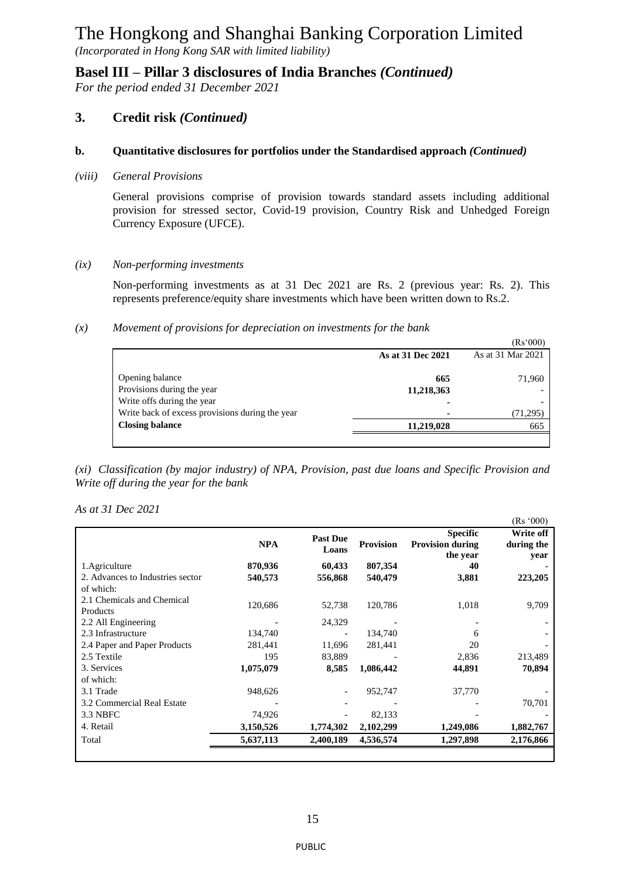*(Incorporated in Hong Kong SAR with limited liability)*

**Basel III – Pillar 3 disclosures of India Branches** *(Continued)*

*For the period ended 31 December 2021*

### **3. Credit risk** *(Continued)*

#### **b. Quantitative disclosures for portfolios under the Standardised approach** *(Continued)*

*(viii) General Provisions*

General provisions comprise of provision towards standard assets including additional provision for stressed sector, Covid-19 provision, Country Risk and Unhedged Foreign Currency Exposure (UFCE).

*(ix) Non-performing investments* 

Non-performing investments as at 31 Dec 2021 are Rs. 2 (previous year: Rs. 2). This represents preference/equity share investments which have been written down to Rs.2.

#### *(x) Movement of provisions for depreciation on investments for the bank*

|                                                 |                   | (Rs'000)          |
|-------------------------------------------------|-------------------|-------------------|
|                                                 | As at 31 Dec 2021 | As at 31 Mar 2021 |
| Opening balance                                 | 665               | 71,960            |
| Provisions during the year                      | 11,218,363        |                   |
| Write offs during the year                      |                   |                   |
| Write back of excess provisions during the year | -                 | (71,295)          |
| <b>Closing balance</b>                          | 11,219,028        | 665               |
|                                                 |                   |                   |

*(xi) Classification (by major industry) of NPA, Provision, past due loans and Specific Provision and Write off during the year for the bank*

*As at 31 Dec 2021*

|                                        |            |                          |                  |                                                        | (Rs'000)                        |
|----------------------------------------|------------|--------------------------|------------------|--------------------------------------------------------|---------------------------------|
|                                        | <b>NPA</b> | <b>Past Due</b><br>Loans | <b>Provision</b> | <b>Specific</b><br><b>Provision during</b><br>the year | Write off<br>during the<br>vear |
| 1. Agriculture                         | 870,936    | 60,433                   | 807,354          | 40                                                     |                                 |
| 2. Advances to Industries sector       | 540,573    | 556,868                  | 540,479          | 3,881                                                  | 223,205                         |
| of which:                              |            |                          |                  |                                                        |                                 |
| 2.1 Chemicals and Chemical<br>Products | 120,686    | 52,738                   | 120,786          | 1,018                                                  | 9,709                           |
| 2.2 All Engineering                    |            | 24,329                   |                  |                                                        |                                 |
| 2.3 Infrastructure                     | 134,740    |                          | 134,740          | 6                                                      |                                 |
| 2.4 Paper and Paper Products           | 281,441    | 11,696                   | 281,441          | 20                                                     |                                 |
| 2.5 Textile                            | 195        | 83,889                   |                  | 2,836                                                  | 213,489                         |
| 3. Services                            | 1,075,079  | 8,585                    | 1,086,442        | 44,891                                                 | 70,894                          |
| of which:                              |            |                          |                  |                                                        |                                 |
| 3.1 Trade                              | 948,626    | $\overline{\phantom{a}}$ | 952,747          | 37,770                                                 |                                 |
| 3.2 Commercial Real Estate             |            |                          |                  |                                                        | 70,701                          |
| 3.3 NBFC                               | 74,926     |                          | 82,133           |                                                        |                                 |
| 4. Retail                              | 3,150,526  | 1,774,302                | 2,102,299        | 1,249,086                                              | 1,882,767                       |
| Total                                  | 5,637,113  | 2,400,189                | 4,536,574        | 1,297,898                                              | 2,176,866                       |
|                                        |            |                          |                  |                                                        |                                 |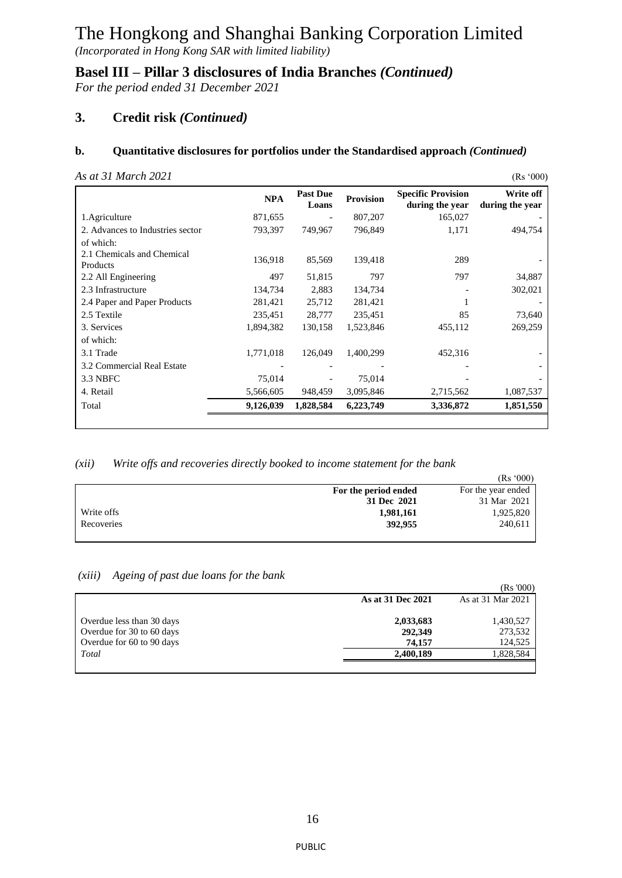*(Incorporated in Hong Kong SAR with limited liability)*

**Basel III – Pillar 3 disclosures of India Branches** *(Continued)*

*For the period ended 31 December 2021*

## **3. Credit risk** *(Continued)*

#### **b. Quantitative disclosures for portfolios under the Standardised approach** *(Continued)*

|  | As at 31 March 2021 |  |
|--|---------------------|--|
|  |                     |  |

| As at 31 March 2021                    |            |                          |                  |                                              | (Rs'000)                     |
|----------------------------------------|------------|--------------------------|------------------|----------------------------------------------|------------------------------|
|                                        | <b>NPA</b> | <b>Past Due</b><br>Loans | <b>Provision</b> | <b>Specific Provision</b><br>during the year | Write off<br>during the year |
| 1. Agriculture                         | 871,655    |                          | 807,207          | 165,027                                      |                              |
| 2. Advances to Industries sector       | 793,397    | 749,967                  | 796,849          | 1,171                                        | 494,754                      |
| of which:                              |            |                          |                  |                                              |                              |
| 2.1 Chemicals and Chemical<br>Products | 136,918    | 85,569                   | 139,418          | 289                                          |                              |
| 2.2 All Engineering                    | 497        | 51,815                   | 797              | 797                                          | 34,887                       |
| 2.3 Infrastructure                     | 134,734    | 2,883                    | 134,734          |                                              | 302,021                      |
| 2.4 Paper and Paper Products           | 281,421    | 25,712                   | 281,421          |                                              |                              |
| 2.5 Textile                            | 235,451    | 28,777                   | 235,451          | 85                                           | 73,640                       |
| 3. Services                            | 1,894,382  | 130,158                  | 1,523,846        | 455,112                                      | 269,259                      |
| of which:                              |            |                          |                  |                                              |                              |
| 3.1 Trade                              | 1,771,018  | 126,049                  | 1,400,299        | 452,316                                      |                              |
| 3.2 Commercial Real Estate             |            |                          |                  |                                              |                              |
| 3.3 NBFC                               | 75,014     |                          | 75,014           |                                              |                              |
| 4. Retail                              | 5,566,605  | 948,459                  | 3,095,846        | 2,715,562                                    | 1,087,537                    |
| Total                                  | 9,126,039  | 1,828,584                | 6,223,749        | 3,336,872                                    | 1,851,550                    |
|                                        |            |                          |                  |                                              |                              |

#### *(xii) Write offs and recoveries directly booked to income statement for the bank*

|            |                      | (Rs '000)          |
|------------|----------------------|--------------------|
|            | For the period ended | For the year ended |
|            | 31 Dec 2021          | 31 Mar 2021        |
| Write offs | 1,981,161            | 1,925,820          |
| Recoveries | 392,955              | 240,611            |
|            |                      |                    |

#### *(xiii) Ageing of past due loans for the bank*

|                           |                   | (Rs 000)          |
|---------------------------|-------------------|-------------------|
|                           | As at 31 Dec 2021 | As at 31 Mar 2021 |
| Overdue less than 30 days | 2,033,683         | 1,430,527         |
| Overdue for 30 to 60 days | 292,349           | 273,532           |
| Overdue for 60 to 90 days | 74.157            | 124,525           |
| Total                     | 2,400,189         | 1,828,584         |
|                           |                   |                   |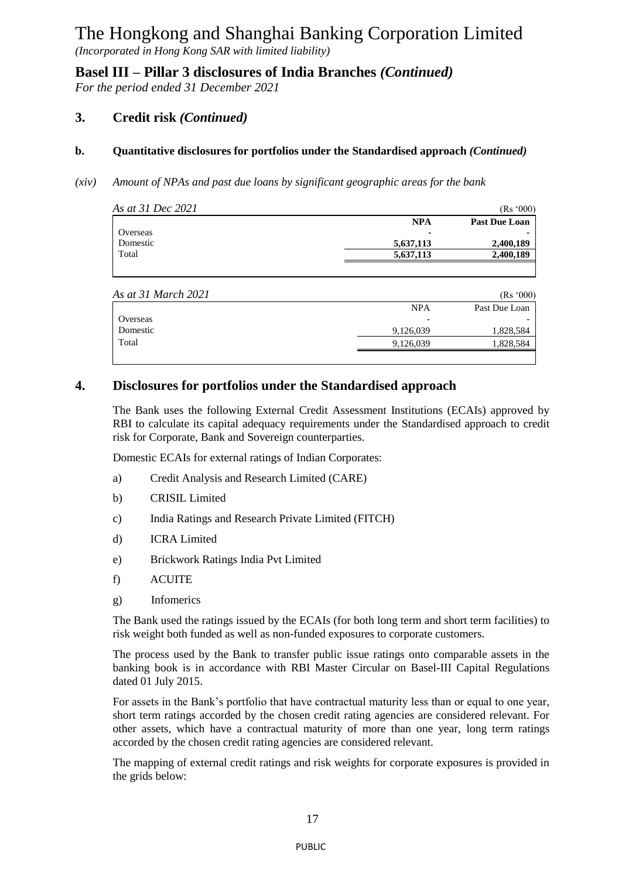*(Incorporated in Hong Kong SAR with limited liability)*

**Basel III – Pillar 3 disclosures of India Branches** *(Continued)*

*For the period ended 31 December 2021*

### **3. Credit risk** *(Continued)*

#### **b. Quantitative disclosures for portfolios under the Standardised approach** *(Continued)*

*(xiv) Amount of NPAs and past due loans by significant geographic areas for the bank*

| As at 31 Dec 2021 |            | (Rs'000)             |
|-------------------|------------|----------------------|
|                   | <b>NPA</b> | <b>Past Due Loan</b> |
| Overseas          |            |                      |
| Domestic          | 5,637,113  | 2,400,189            |
| Total             | 5.637.113  | 2,400,189            |
|                   |            |                      |

| As at 31 March 2021 |            | (Rs'000)      |
|---------------------|------------|---------------|
|                     | <b>NPA</b> | Past Due Loan |
| Overseas            |            |               |
| Domestic            | 9,126,039  | 1,828,584     |
| Total               | 9,126,039  | 1,828,584     |
|                     |            |               |

### **4. Disclosures for portfolios under the Standardised approach**

The Bank uses the following External Credit Assessment Institutions (ECAIs) approved by RBI to calculate its capital adequacy requirements under the Standardised approach to credit risk for Corporate, Bank and Sovereign counterparties.

Domestic ECAIs for external ratings of Indian Corporates:

- a) Credit Analysis and Research Limited (CARE)
- b) CRISIL Limited
- c) India Ratings and Research Private Limited (FITCH)
- d) ICRA Limited
- e) Brickwork Ratings India Pvt Limited
- f) ACUITE
- g) Infomerics

The Bank used the ratings issued by the ECAIs (for both long term and short term facilities) to risk weight both funded as well as non-funded exposures to corporate customers.

The process used by the Bank to transfer public issue ratings onto comparable assets in the banking book is in accordance with RBI Master Circular on Basel-III Capital Regulations dated 01 July 2015.

For assets in the Bank's portfolio that have contractual maturity less than or equal to one year, short term ratings accorded by the chosen credit rating agencies are considered relevant. For other assets, which have a contractual maturity of more than one year, long term ratings accorded by the chosen credit rating agencies are considered relevant.

The mapping of external credit ratings and risk weights for corporate exposures is provided in the grids below: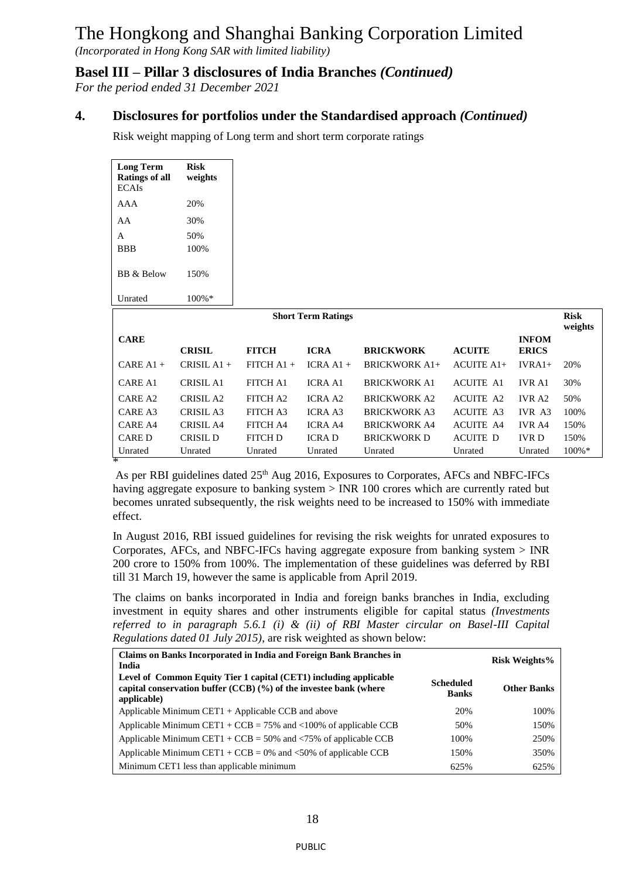*(Incorporated in Hong Kong SAR with limited liability)*

### **Basel III – Pillar 3 disclosures of India Branches** *(Continued)*

*For the period ended 31 December 2021*

### **4. Disclosures for portfolios under the Standardised approach** *(Continued)*

Risk weight mapping of Long term and short term corporate ratings

| <b>Long Term</b><br><b>Ratings of all</b><br><b>ECAIs</b> | <b>Risk</b><br>weights |                 |                           |                      |                  |                              |                        |
|-----------------------------------------------------------|------------------------|-----------------|---------------------------|----------------------|------------------|------------------------------|------------------------|
| <b>AAA</b>                                                | 20%                    |                 |                           |                      |                  |                              |                        |
| AA                                                        | 30%                    |                 |                           |                      |                  |                              |                        |
| A                                                         | 50%                    |                 |                           |                      |                  |                              |                        |
| <b>BBB</b>                                                | 100%                   |                 |                           |                      |                  |                              |                        |
| <b>BB</b> & Below                                         | 150%                   |                 |                           |                      |                  |                              |                        |
| Unrated                                                   | 100%*                  |                 |                           |                      |                  |                              |                        |
|                                                           |                        |                 | <b>Short Term Ratings</b> |                      |                  |                              | <b>Risk</b><br>weights |
| <b>CARE</b>                                               | <b>CRISIL</b>          | <b>FITCH</b>    | <b>ICRA</b>               | <b>BRICKWORK</b>     | <b>ACUITE</b>    | <b>INFOM</b><br><b>ERICS</b> |                        |
| $CARE A1 +$                                               | CRISIL $A1 +$          | FITCH $A1 +$    | $ICRA A1 +$               | <b>BRICKWORK A1+</b> | $ACUITE A1+$     | $IVRA1+$                     | 20%                    |
| <b>CARE A1</b>                                            | <b>CRISIL A1</b>       | <b>FITCH A1</b> | <b>ICRA A1</b>            | <b>BRICKWORK A1</b>  | <b>ACUITE A1</b> | <b>IVR A1</b>                | 30%                    |
| <b>CARE A2</b>                                            | <b>CRISIL A2</b>       | FITCH A2        | <b>ICRA A2</b>            | <b>BRICKWORK A2</b>  | <b>ACUITE A2</b> | <b>IVR A2</b>                | 50%                    |
| CARE A3                                                   | <b>CRISIL A3</b>       | FITCH A3        | <b>ICRA A3</b>            | <b>BRICKWORK A3</b>  | <b>ACUITE A3</b> | IVR A3                       | 100%                   |
| <b>CARE A4</b>                                            |                        | FITCH A4        | <b>ICRA A4</b>            | <b>BRICKWORK A4</b>  | <b>ACUITE A4</b> | <b>IVR A4</b>                | 150%                   |
|                                                           | <b>CRISIL A4</b>       |                 |                           |                      |                  |                              |                        |
| <b>CARED</b>                                              | CRISIL D               | <b>FITCH D</b>  | <b>ICRAD</b>              | <b>BRICKWORK D</b>   | <b>ACUITE D</b>  | <b>IVRD</b>                  | 150%                   |
| Unrated<br>×                                              | Unrated                | Unrated         | Unrated                   | Unrated              | Unrated          | Unrated                      | 100%*                  |

As per RBI guidelines dated 25<sup>th</sup> Aug 2016, Exposures to Corporates, AFCs and NBFC-IFCs having aggregate exposure to banking system > INR 100 crores which are currently rated but becomes unrated subsequently, the risk weights need to be increased to 150% with immediate effect.

In August 2016, RBI issued guidelines for revising the risk weights for unrated exposures to Corporates, AFCs, and NBFC-IFCs having aggregate exposure from banking system > INR 200 crore to 150% from 100%. The implementation of these guidelines was deferred by RBI till 31 March 19, however the same is applicable from April 2019.

The claims on banks incorporated in India and foreign banks branches in India, excluding investment in equity shares and other instruments eligible for capital status *(Investments referred to in paragraph 5.6.1 (i) & (ii) of RBI Master circular on Basel-III Capital Regulations dated 01 July 2015)*, are risk weighted as shown below:

| Claims on Banks Incorporated in India and Foreign Bank Branches in<br>India                                                                           |                                  | <b>Risk Weights%</b> |
|-------------------------------------------------------------------------------------------------------------------------------------------------------|----------------------------------|----------------------|
| Level of Common Equity Tier 1 capital (CET1) including applicable<br>capital conservation buffer (CCB) (%) of the investee bank (where<br>applicable) | <b>Scheduled</b><br><b>Banks</b> | <b>Other Banks</b>   |
| Applicable Minimum CET1 + Applicable CCB and above                                                                                                    | 20%                              | 100%                 |
| Applicable Minimum CET1 + CCB = 75% and <100% of applicable CCB                                                                                       | 50%                              | 150%                 |
| Applicable Minimum CET1 + CCB = 50% and $\langle 75\% \rangle$ of applicable CCB                                                                      | 100%                             | 250%                 |
| Applicable Minimum CET1 + CCB = 0% and $\langle 50\%$ of applicable CCB                                                                               | 150%                             | 350%                 |
| Minimum CET1 less than applicable minimum                                                                                                             | 625%                             | 625%                 |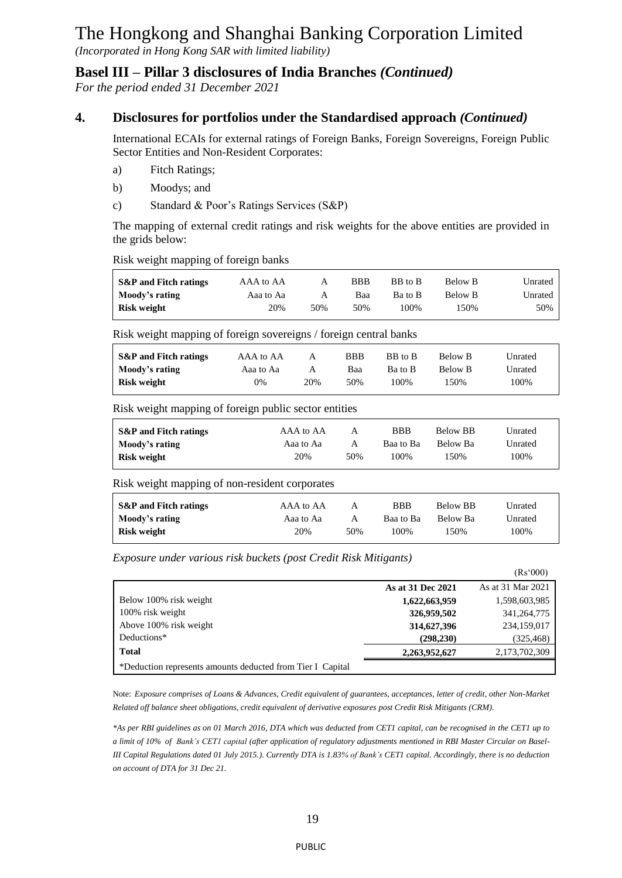*(Incorporated in Hong Kong SAR with limited liability)*

### **Basel III – Pillar 3 disclosures of India Branches** *(Continued)*

*For the period ended 31 December 2021*

## **4. Disclosures for portfolios under the Standardised approach** *(Continued)*

International ECAIs for external ratings of Foreign Banks, Foreign Sovereigns, Foreign Public Sector Entities and Non-Resident Corporates:

- a) Fitch Ratings;
- b) Moodys; and
- c) Standard & Poor's Ratings Services (S&P)

The mapping of external credit ratings and risk weights for the above entities are provided in the grids below:

Risk weight mapping of foreign banks

| <b>S&amp;P</b> and Fitch ratings | AAA to AA | А   | <b>BBB</b> | BB to B | Below B | Unrated |
|----------------------------------|-----------|-----|------------|---------|---------|---------|
| Moody's rating                   | Aaa to Aa | A   | Baa        | Ba to B | Below B | Unrated |
| Risk weight                      | 20%       | 50% | 50%        | 100%    | 150%    | 50%     |

Risk weight mapping of foreign sovereigns / foreign central banks

| <b>S&amp;P</b> and Fitch ratings | AAA to AA | А   | <b>BBB</b> | BB to B | Below B | Unrated |
|----------------------------------|-----------|-----|------------|---------|---------|---------|
| Moody's rating                   | Aaa to Aa | А   | Baa        | Ba to B | Below B | Unrated |
| Risk weight                      | 0%        | 20% | 50%        | 100%    | 150%    | 100%    |

Risk weight mapping of foreign public sector entities

| S&P and Fitch ratings | AAA to AA | A   | <b>BBB</b> | Below BB | Unrated |
|-----------------------|-----------|-----|------------|----------|---------|
| Moody's rating        | Aaa to Aa | A   | Baa to Ba  | Below Ba | Unrated |
| Risk weight           | 20%       | 50% | 100%       | 150%     | 100%    |

Risk weight mapping of non-resident corporates

| <b>S&amp;P</b> and Fitch ratings | AAA to AA | Α   | <b>BBB</b> | <b>Below BB</b> | Unrated |
|----------------------------------|-----------|-----|------------|-----------------|---------|
| Moody's rating                   | Aaa to Aa | А   | Baa to Ba  | Below Ba        | Unrated |
| Risk weight                      | 20%       | 50% | 100%       | 150%            | 100%    |

*Exposure under various risk buckets (post Credit Risk Mitigants)* 

|                                                            |                   | (Rs'000)          |
|------------------------------------------------------------|-------------------|-------------------|
|                                                            | As at 31 Dec 2021 | As at 31 Mar 2021 |
| Below 100% risk weight                                     | 1,622,663,959     | 1,598,603,985     |
| 100% risk weight                                           | 326,959,502       | 341, 264, 775     |
| Above 100% risk weight                                     | 314,627,396       | 234,159,017       |
| Deductions*                                                | (298, 230)        | (325, 468)        |
| <b>Total</b>                                               | 2,263,952,627     | 2,173,702,309     |
| *Deduction represents amounts deducted from Tier I Capital |                   |                   |

Note: *Exposure comprises of Loans & Advances, Credit equivalent of guarantees, acceptances, letter of credit, other Non-Market Related off balance sheet obligations, credit equivalent of derivative exposures post Credit Risk Mitigants (CRM).* 

*\*As per RBI guidelines as on 01 March 2016, DTA which was deducted from CET1 capital, can be recognised in the CET1 up to a limit of 10% of Bank's CET1 capital (after application of regulatory adjustments mentioned in RBI Master Circular on Basel-III Capital Regulations dated 01 July 2015.). Currently DTA is 1.83% of Bank's CET1 capital. Accordingly, there is no deduction on account of DTA for 31 Dec 21.*